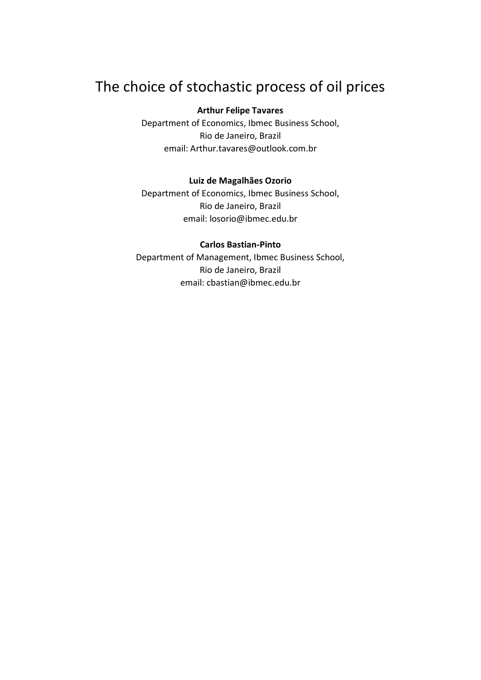# The choice of stochastic process of oil prices

## **Arthur Felipe Tavares**

Department of Economics, Ibmec Business School, Rio de Janeiro, Brazil email: Arthur.tavares@outlook.com.br

### **Luiz de Magalhães Ozorio**

Department of Economics, Ibmec Business School, Rio de Janeiro, Brazil email: losorio@ibmec.edu.br

## **Carlos Bastian-Pinto**

Department of Management, Ibmec Business School, Rio de Janeiro, Brazil email: cbastian@ibmec.edu.br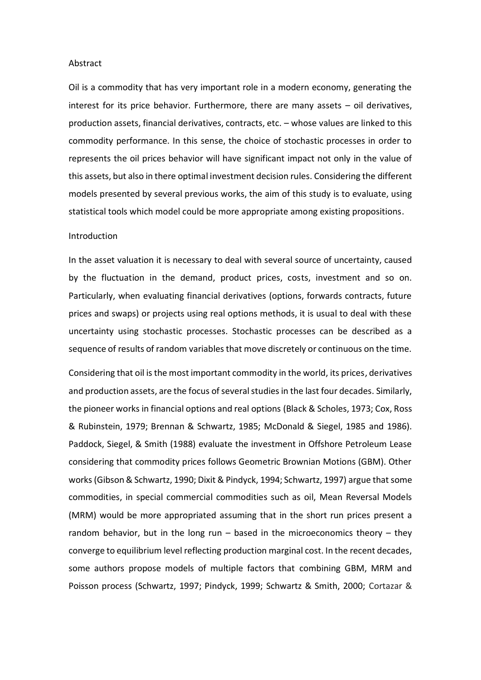#### Abstract

Oil is a commodity that has very important role in a modern economy, generating the interest for its price behavior. Furthermore, there are many assets – oil derivatives, production assets, financial derivatives, contracts, etc. – whose values are linked to this commodity performance. In this sense, the choice of stochastic processes in order to represents the oil prices behavior will have significant impact not only in the value of this assets, but also in there optimal investment decision rules. Considering the different models presented by several previous works, the aim of this study is to evaluate, using statistical tools which model could be more appropriate among existing propositions.

#### Introduction

In the asset valuation it is necessary to deal with several source of uncertainty, caused by the fluctuation in the demand, product prices, costs, investment and so on. Particularly, when evaluating financial derivatives (options, forwards contracts, future prices and swaps) or projects using real options methods, it is usual to deal with these uncertainty using stochastic processes. Stochastic processes can be described as a sequence of results of random variables that move discretely or continuous on the time.

Considering that oil is the most important commodity in the world, its prices, derivatives and production assets, are the focus of several studies in the last four decades. Similarly, the pioneer works in financial options and real options (Black & Scholes, 1973; Cox, Ross & Rubinstein, 1979; Brennan & Schwartz, 1985; McDonald & Siegel, 1985 and 1986). Paddock, Siegel, & Smith (1988) evaluate the investment in Offshore Petroleum Lease considering that commodity prices follows Geometric Brownian Motions (GBM). Other works (Gibson & Schwartz, 1990; Dixit & Pindyck, 1994; Schwartz, 1997) argue that some commodities, in special commercial commodities such as oil, Mean Reversal Models (MRM) would be more appropriated assuming that in the short run prices present a random behavior, but in the long run  $-$  based in the microeconomics theory  $-$  they converge to equilibrium level reflecting production marginal cost. In the recent decades, some authors propose models of multiple factors that combining GBM, MRM and Poisson process (Schwartz, 1997; Pindyck, 1999; Schwartz & Smith, 2000; Cortazar &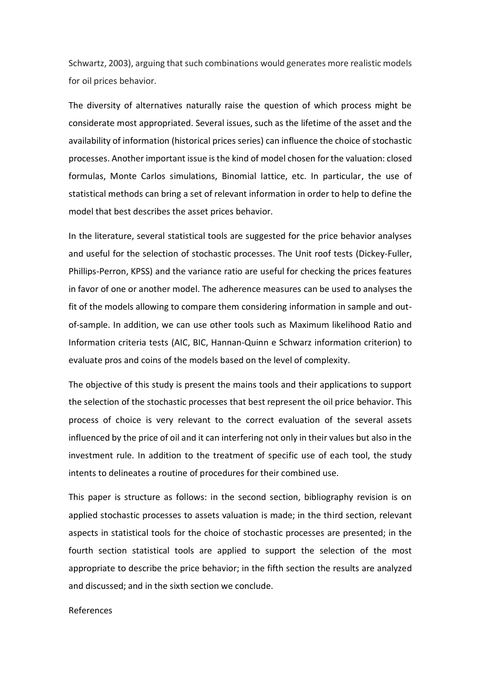Schwartz, 2003), arguing that such combinations would generates more realistic models for oil prices behavior.

The diversity of alternatives naturally raise the question of which process might be considerate most appropriated. Several issues, such as the lifetime of the asset and the availability of information (historical prices series) can influence the choice of stochastic processes. Another important issue is the kind of model chosen for the valuation: closed formulas, Monte Carlos simulations, Binomial lattice, etc. In particular, the use of statistical methods can bring a set of relevant information in order to help to define the model that best describes the asset prices behavior.

In the literature, several statistical tools are suggested for the price behavior analyses and useful for the selection of stochastic processes. The Unit roof tests (Dickey-Fuller, Phillips-Perron, KPSS) and the variance ratio are useful for checking the prices features in favor of one or another model. The adherence measures can be used to analyses the fit of the models allowing to compare them considering information in sample and outof-sample. In addition, we can use other tools such as Maximum likelihood Ratio and Information criteria tests (AIC, BIC, Hannan-Quinn e Schwarz information criterion) to evaluate pros and coins of the models based on the level of complexity.

The objective of this study is present the mains tools and their applications to support the selection of the stochastic processes that best represent the oil price behavior. This process of choice is very relevant to the correct evaluation of the several assets influenced by the price of oil and it can interfering not only in their values but also in the investment rule. In addition to the treatment of specific use of each tool, the study intents to delineates a routine of procedures for their combined use.

This paper is structure as follows: in the second section, bibliography revision is on applied stochastic processes to assets valuation is made; in the third section, relevant aspects in statistical tools for the choice of stochastic processes are presented; in the fourth section statistical tools are applied to support the selection of the most appropriate to describe the price behavior; in the fifth section the results are analyzed and discussed; and in the sixth section we conclude.

## References